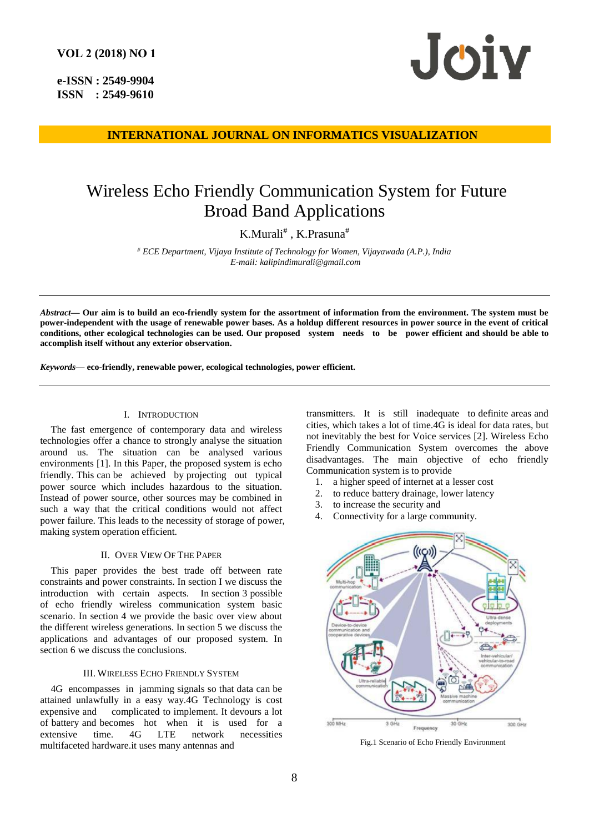**e-ISSN : 2549-9904 ISSN : 2549-9610** 



**INTERNATIONAL JOURNAL ON INFORMATICS VISUALIZATION**

# Wireless Echo Friendly Communication System for Future Broad Band Applications

K.Murali# , K.Prasuna#

*# ECE Department, Vijaya Institute of Technology for Women, Vijayawada (A.P.), India E-mail: kalipindimurali@gmail.com*

*Abstract***— Our aim is to build an eco-friendly system for the assortment of information from the environment. The system must be power-independent with the usage of renewable power bases. As a holdup different resources in power source in the event of critical conditions, other ecological technologies can be used. Our proposed system needs to be power efficient and should be able to accomplish itself without any exterior observation.**

*Keywords***— eco-friendly, renewable power, ecological technologies, power efficient.**

### I. INTRODUCTION

The fast emergence of contemporary data and wireless technologies offer a chance to strongly analyse the situation around us. The situation can be analysed various environments [1]. In this Paper, the proposed system is echo friendly. This can be achieved by projecting out typical power source which includes hazardous to the situation. Instead of power source, other sources may be combined in such a way that the critical conditions would not affect power failure. This leads to the necessity of storage of power, making system operation efficient.

#### II. OVER VIEW OF THE PAPER

This paper provides the best trade off between rate constraints and power constraints. In section I we discuss the introduction with certain aspects. In section 3 possible of echo friendly wireless communication system basic scenario. In section 4 we provide the basic over view about the different wireless generations. In section 5 we discuss the applications and advantages of our proposed system. In section 6 we discuss the conclusions.

## III. WIRELESS ECHO FRIENDLY SYSTEM

4G encompasses in jamming signals so that data can be attained unlawfully in a easy way.4G Technology is cost expensive and complicated to implement. It devours a lot of battery and becomes hot when it is used for a extensive time. 4G LTE network necessities multifaceted hardware.it uses many antennas and

transmitters. It is still inadequate to definite areas and cities, which takes a lot of time.4G is ideal for data rates, but not inevitably the best for Voice services [2]. Wireless Echo Friendly Communication System overcomes the above disadvantages. The main objective of echo friendly Communication system is to provide

- 1. a higher speed of internet at a lesser cost
- 2. to reduce battery drainage, lower latency
- 3. to increase the security and
- 4. Connectivity for a large community.



Fig.1 Scenario of Echo Friendly Environment